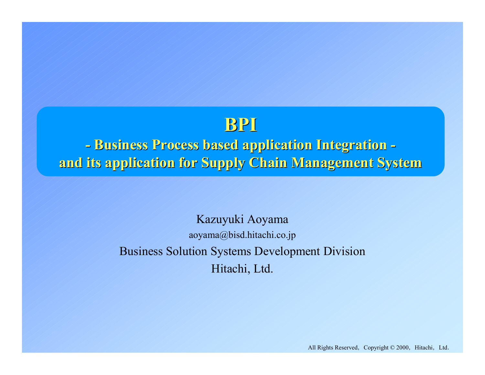## **BPI**

**- Business Process based application Integration Business Process based application Integration and its application for Supply Chain Management System and its application for Supply Chain Management System**

> Kazuyuki Aoyama aoyama@bisd.hitachi.co.jp Business Solution Systems Development Division Hitachi, Ltd.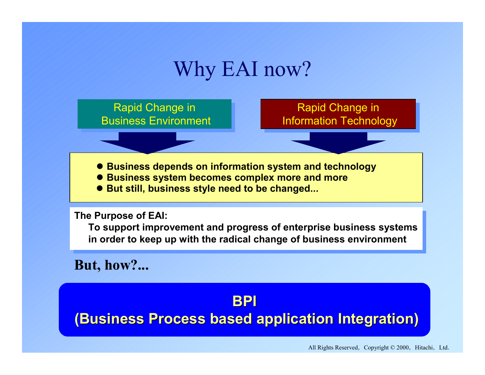## Why EAI now?

Rapid Change in Rapid Change in Business Environment Rapid Change in<br>Information Technology

**• Business depends on information system and technology** 

- $\bullet$  **Business system becomes complex more and more**
- But still, business style need to be changed...

**The Purpose of EAI: The Purpose of EAI:**

**To support improvement and progress of enterprise business systems To support improvement and progress of enterprise business systems in order to keep up with the radical change of business environment in order to keep up with the radical change of business environment**

**But, how?...**

## **BPI(Business Process based application Integration) (Business Process based application Integration)**

All Rights Reserved, Copyright  $© 2000$ , Hitachi, Ltd.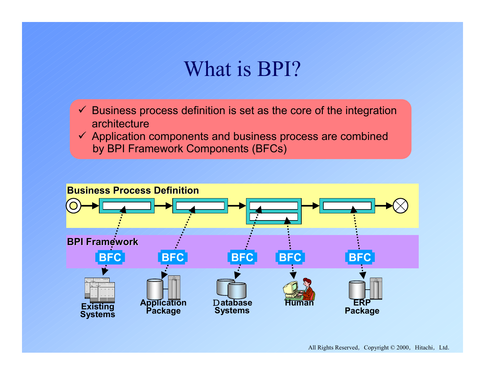## What is BPI?

- $\checkmark$  Business process definition is set as the core of the integration architecture
- $\checkmark$  Application components and business process are combined by BPI Framework Components (BFCs)

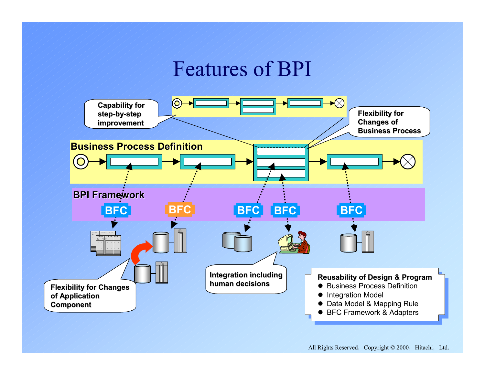## Features of BPI

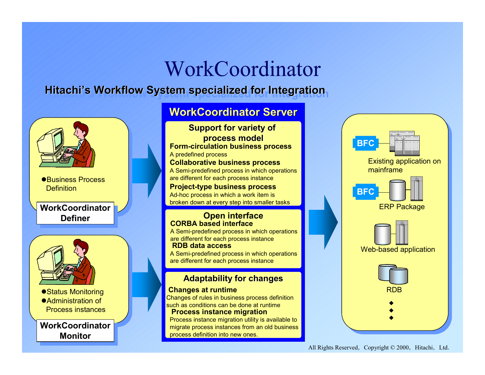# WorkCoordinator

## **Hitachi Hitachi Hitachi's Workflow System specialized for Integration 's Workflow System specialized for Integration s Workflow System specialized for Integration**



 $\textsf{WorkCoordinate}\ \blacksquare$ <u>Monitor</u>

### **WorkCoordinator Server**

**Support for variety of process model process model Collaborative business process** A Semi-predefined process in which operations are different for each process instance **Form-circulation business process** A predefined process

#### **Project-type business process** Ad-hoc process in which a work item is

broken down at every step into smaller tasks

### **Open interface CORBA based interface**

A Semi-predefined process in which operations are different for each process instance **RDB data access**

A Semi-predefined process in which operations are different for each process instance

### **Adaptability for changes**

#### **Changes at runtime**

Changes of rules in business process definition such as conditions can be done at runtime **Process instance migration**

Process instance migration utility is available to migrate process instances from an old business process definition into new ones.

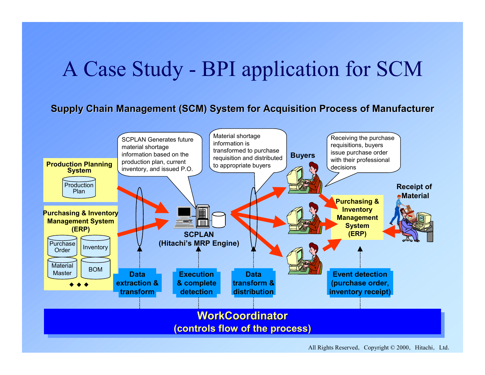# A Case Study - BPI application for SCM

**Supply Chain Management (SCM) System for Acquisition Process of Manufacturer** 

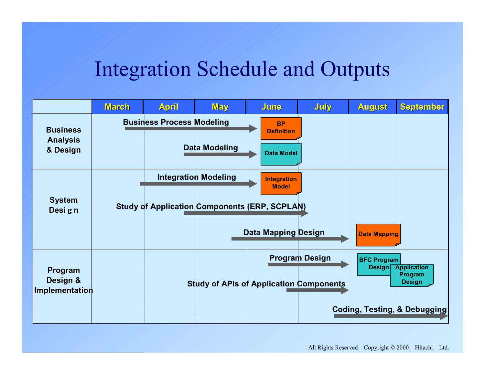# Integration Schedule and Outputs

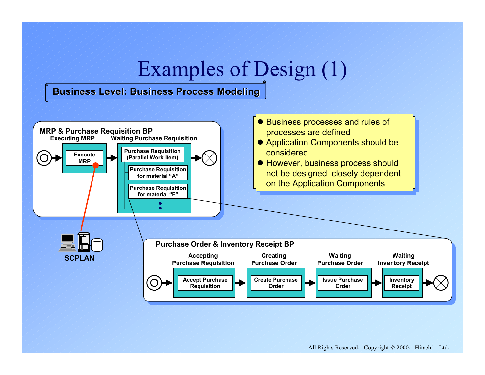# Examples of Design (1)

### **Business Level: Business Process Modeling Business Level: Business Process Modeling**

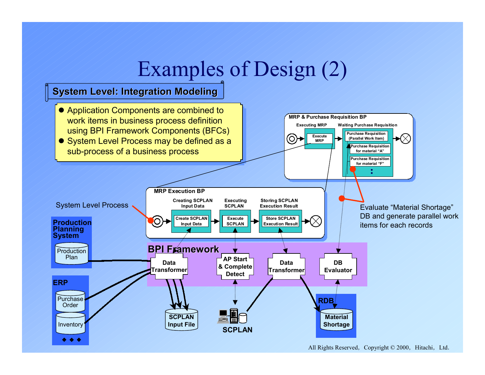# Examples of Design (2)

### **System Level: Integration Modeling System Level: Integration Modeling**

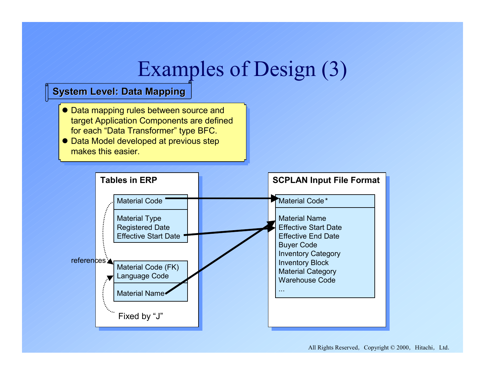# Examples of Design (3)

### **System Level: Data Mapping System Level: Data Mapping**

- Data mapping rules between source and target Application Components are defined<br>f for each "Data Transformer" type BFC. for each "Data Transformer" type BFC.
- Data Model developed at previous step makes this easier.

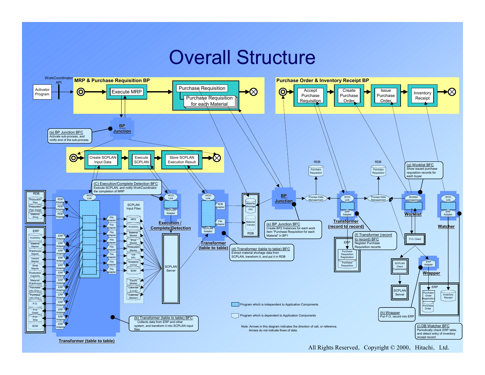## Overall Structure



All Rights Reserved, Copyright  $© 2000$ , Hitachi, Ltd.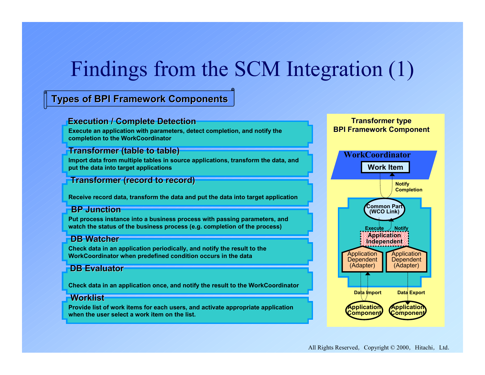# Findings from the SCM Integration (1)

### **Types of BPI Framework Components Types of BPI Framework Components**

### **Execution / Complete Detection**

**Execute an application with parameters, detect completion, and notify the BPI Framework Component BPI Framework Component completion to the WorkCoordinator**

### **Transformer (table to table) Transformer (table to table)**

**Import data from multiple tables in source applications, transform the data, and put the data into target applications**

### **Transformer (record to record)**

**Receive record data, transform the data and put the data into target application**

### **BP Junction**

**Put process instance into a business process with passing parameters, and watch the status of the business process (e.g. completion of the process)**

### **DB Watcher Watcher**

**Check data in an application periodically, and notify the result to the WorkCoordinator when predefined condition occurs in the data**

### **DB Evaluator Evaluator**

**Check data in an application once, and notify the result to the WorkCoordinator**

### **Worklist Worklist**

**Provide list of work items for each users, and activate appropriate application when the user select a work item on the list.**



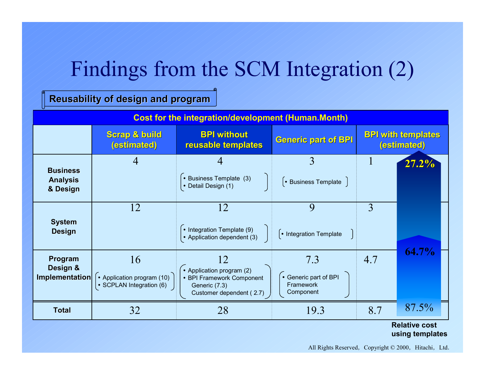# Findings from the SCM Integration (2)

### **Reusability of Reusability of design and program**

| <b>Cost for the integration/development (Human.Month)</b> |                                                              |                                                                                                           |                                                         |                                          |                          |
|-----------------------------------------------------------|--------------------------------------------------------------|-----------------------------------------------------------------------------------------------------------|---------------------------------------------------------|------------------------------------------|--------------------------|
|                                                           | <b>Scrap &amp; build</b><br>(estimated)                      | <b>BPI without</b><br>reusable templates                                                                  | <b>Generic part of BPI</b>                              | <b>BPI with templates</b><br>(estimated) |                          |
| <b>Business</b><br><b>Analysis</b><br>& Design            | $\overline{4}$                                               | • Business Template (3)<br>• Detail Design (1)                                                            | 3<br>$\left\lceil \cdot \right\rceil$ Business Template |                                          | $27.2\%$                 |
| <b>System</b><br><b>Design</b>                            | 12                                                           | 12<br>• Integration Template (9)<br>• Application dependent (3)                                           | 9<br>• Integration Template                             | 3                                        |                          |
| Program<br>Design &<br>Implementation                     | 16<br>• Application program (10)<br>• SCPLAN Integration (6) | 12<br>• Application program (2)<br>• BPI Framework Component<br>Generic (7.3)<br>Customer dependent (2.7) | 7.3<br>• Generic part of BPI<br>Framework<br>Component  | 4.7                                      | 64.7%                    |
| <b>Total</b>                                              | 32                                                           | 28                                                                                                        | 19.3                                                    | 8.7                                      | 87.5%<br>$R = 1 - 41.74$ |

#### **Relative costusing templates**

All Rights Reserved, Copyright © 2000, Hitachi, Ltd.